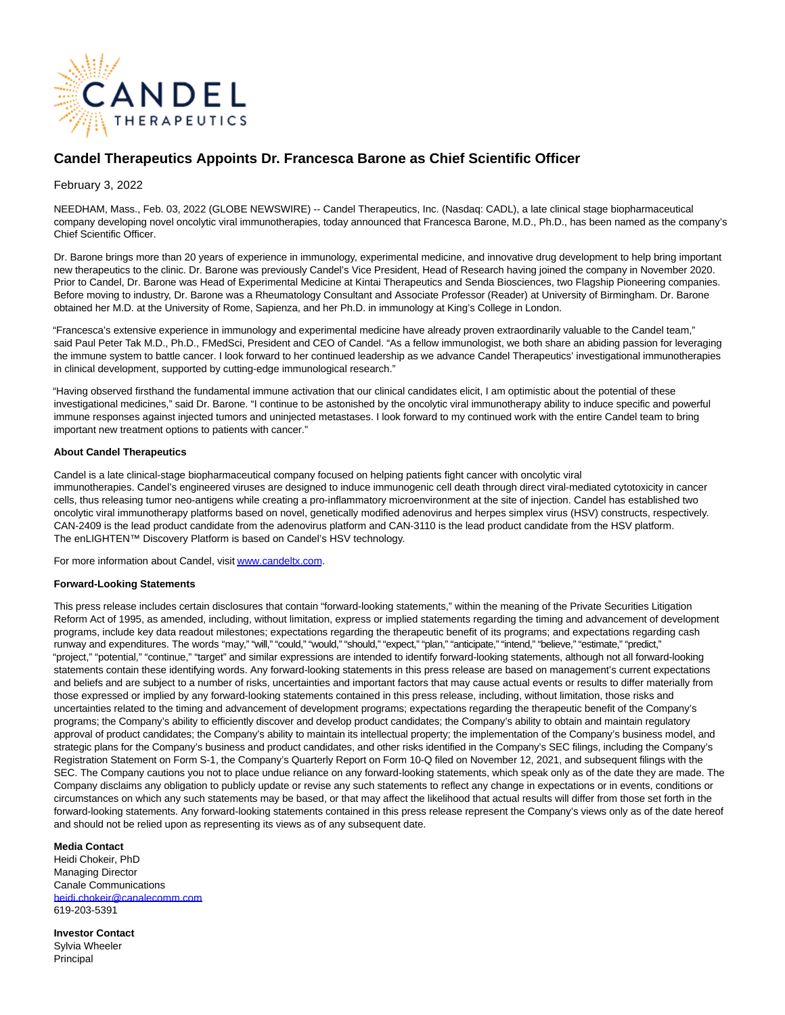

# **Candel Therapeutics Appoints Dr. Francesca Barone as Chief Scientific Officer**

## February 3, 2022

NEEDHAM, Mass., Feb. 03, 2022 (GLOBE NEWSWIRE) -- Candel Therapeutics, Inc. (Nasdaq: CADL), a late clinical stage biopharmaceutical company developing novel oncolytic viral immunotherapies, today announced that Francesca Barone, M.D., Ph.D., has been named as the company's Chief Scientific Officer.

Dr. Barone brings more than 20 years of experience in immunology, experimental medicine, and innovative drug development to help bring important new therapeutics to the clinic. Dr. Barone was previously Candel's Vice President, Head of Research having joined the company in November 2020. Prior to Candel, Dr. Barone was Head of Experimental Medicine at Kintai Therapeutics and Senda Biosciences, two Flagship Pioneering companies. Before moving to industry, Dr. Barone was a Rheumatology Consultant and Associate Professor (Reader) at University of Birmingham. Dr. Barone obtained her M.D. at the University of Rome, Sapienza, and her Ph.D. in immunology at King's College in London.

"Francesca's extensive experience in immunology and experimental medicine have already proven extraordinarily valuable to the Candel team," said Paul Peter Tak M.D., Ph.D., FMedSci, President and CEO of Candel. "As a fellow immunologist, we both share an abiding passion for leveraging the immune system to battle cancer. I look forward to her continued leadership as we advance Candel Therapeutics' investigational immunotherapies in clinical development, supported by cutting-edge immunological research."

"Having observed firsthand the fundamental immune activation that our clinical candidates elicit, I am optimistic about the potential of these investigational medicines," said Dr. Barone. "I continue to be astonished by the oncolytic viral immunotherapy ability to induce specific and powerful immune responses against injected tumors and uninjected metastases. I look forward to my continued work with the entire Candel team to bring important new treatment options to patients with cancer."

### **About Candel Therapeutics**

Candel is a late clinical-stage biopharmaceutical company focused on helping patients fight cancer with oncolytic viral immunotherapies. Candel's engineered viruses are designed to induce immunogenic cell death through direct viral-mediated cytotoxicity in cancer cells, thus releasing tumor neo-antigens while creating a pro-inflammatory microenvironment at the site of injection. Candel has established two oncolytic viral immunotherapy platforms based on novel, genetically modified adenovirus and herpes simplex virus (HSV) constructs, respectively. CAN-2409 is the lead product candidate from the adenovirus platform and CAN-3110 is the lead product candidate from the HSV platform. The enLIGHTEN™ Discovery Platform is based on Candel's HSV technology.

For more information about Candel, visi[t www.candeltx.com.](https://www.globenewswire.com/Tracker?data=kfySeFDI1po6FMhilBriy28BgHGXQkGAaHGdLCZxBeAD8AFXysL7kh24f7fWDTwfuqlaDWxM_APffQJn4OQsGg==)

### **Forward-Looking Statements**

This press release includes certain disclosures that contain "forward-looking statements," within the meaning of the Private Securities Litigation Reform Act of 1995, as amended, including, without limitation, express or implied statements regarding the timing and advancement of development programs, include key data readout milestones; expectations regarding the therapeutic benefit of its programs; and expectations regarding cash runway and expenditures. The words "may," "will," "could," "would," "should," "expect," "plan," "anticipate," "intend," "believe," "estimate," "predict," "project," "potential," "continue," "target" and similar expressions are intended to identify forward-looking statements, although not all forward-looking statements contain these identifying words. Any forward-looking statements in this press release are based on management's current expectations and beliefs and are subject to a number of risks, uncertainties and important factors that may cause actual events or results to differ materially from those expressed or implied by any forward-looking statements contained in this press release, including, without limitation, those risks and uncertainties related to the timing and advancement of development programs; expectations regarding the therapeutic benefit of the Company's programs; the Company's ability to efficiently discover and develop product candidates; the Company's ability to obtain and maintain regulatory approval of product candidates; the Company's ability to maintain its intellectual property; the implementation of the Company's business model, and strategic plans for the Company's business and product candidates, and other risks identified in the Company's SEC filings, including the Company's Registration Statement on Form S-1, the Company's Quarterly Report on Form 10-Q filed on November 12, 2021, and subsequent filings with the SEC. The Company cautions you not to place undue reliance on any forward-looking statements, which speak only as of the date they are made. The Company disclaims any obligation to publicly update or revise any such statements to reflect any change in expectations or in events, conditions or circumstances on which any such statements may be based, or that may affect the likelihood that actual results will differ from those set forth in the forward-looking statements. Any forward-looking statements contained in this press release represent the Company's views only as of the date hereof and should not be relied upon as representing its views as of any subsequent date.

### **Media Contact**

Heidi Chokeir, PhD Managing Director Canale Communications [heidi.chokeir@canalecomm.com](https://www.globenewswire.com/Tracker?data=4O0io4CgBjoXIcDFfCRHL0jETS0QDGHcOO9JhXQZWowPaLKbASUTqYozQEZLKzF8AGFFV9tioQF8WxXmjuatIvBHvDljiQEZOM9KHZoOsd42lDdpLXNI0IOeu5MtSX_S) 619-203-5391

**Investor Contact** Sylvia Wheeler Principal